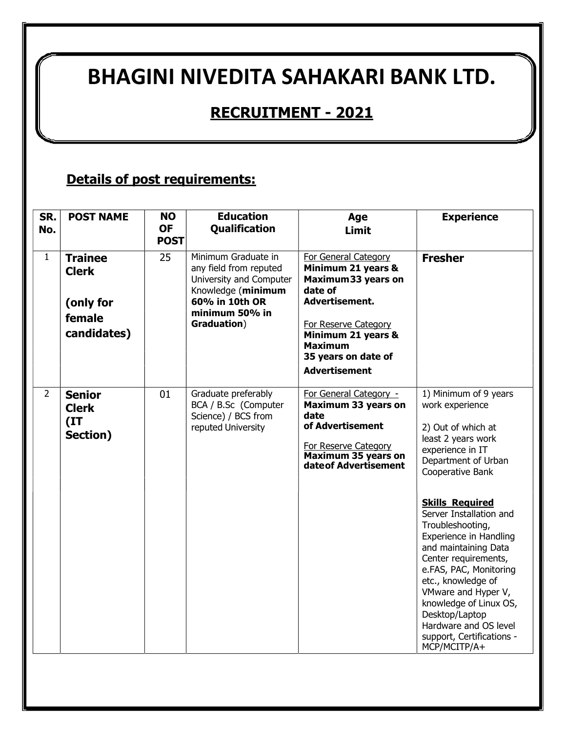# BHAGINI NIVEDITA SAHAKARI BANK LTD.

# RECRUITMENT - 2021

## Details of post requirements:

| SR.<br>No.     | <b>POST NAME</b>                                                     | <b>NO</b><br><b>OF</b><br><b>POST</b> | <b>Education</b><br><b>Qualification</b>                                                                                                          | Age<br><b>Limit</b>                                                                                                                                                                                                 | <b>Experience</b>                                                                                                                                                                                                                                                              |
|----------------|----------------------------------------------------------------------|---------------------------------------|---------------------------------------------------------------------------------------------------------------------------------------------------|---------------------------------------------------------------------------------------------------------------------------------------------------------------------------------------------------------------------|--------------------------------------------------------------------------------------------------------------------------------------------------------------------------------------------------------------------------------------------------------------------------------|
| $\mathbf{1}$   | <b>Trainee</b><br><b>Clerk</b><br>(only for<br>female<br>candidates) | 25                                    | Minimum Graduate in<br>any field from reputed<br>University and Computer<br>Knowledge (minimum<br>60% in 10th OR<br>minimum 50% in<br>Graduation) | <b>For General Category</b><br>Minimum 21 years &<br>Maximum33 years on<br>date of<br>Advertisement.<br>For Reserve Category<br>Minimum 21 years &<br><b>Maximum</b><br>35 years on date of<br><b>Advertisement</b> | <b>Fresher</b>                                                                                                                                                                                                                                                                 |
| $\overline{2}$ | <b>Senior</b><br><b>Clerk</b><br>(IT)<br>Section)                    | 01                                    | Graduate preferably<br>BCA / B.Sc (Computer<br>Science) / BCS from<br>reputed University                                                          | For General Category -<br><b>Maximum 33 years on</b><br>date<br>of Advertisement<br>For Reserve Category<br><b>Maximum 35 years on</b><br>date of Advertisement                                                     | 1) Minimum of 9 years<br>work experience<br>2) Out of which at<br>least 2 years work<br>experience in IT<br>Department of Urban<br>Cooperative Bank<br><b>Skills Required</b><br>Server Installation and<br>Troubleshooting,<br>Experience in Handling<br>and maintaining Data |
|                |                                                                      |                                       |                                                                                                                                                   |                                                                                                                                                                                                                     | Center requirements,<br>e.FAS, PAC, Monitoring<br>etc., knowledge of<br>VMware and Hyper V,<br>knowledge of Linux OS,<br>Desktop/Laptop<br>Hardware and OS level<br>support, Certifications -<br>MCP/MCITP/A+                                                                  |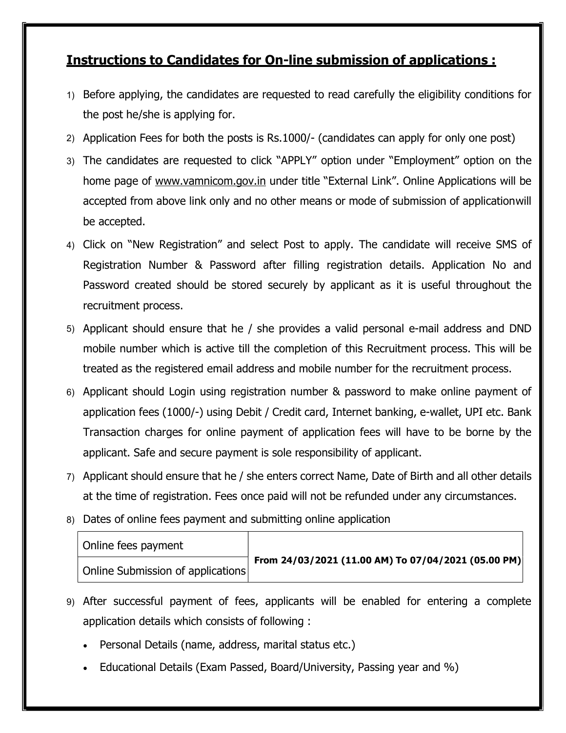## Instructions to Candidates for On-line submission of applications :

- 1) Before applying, the candidates are requested to read carefully the eligibility conditions for the post he/she is applying for.
- 2) Application Fees for both the posts is Rs.1000/- (candidates can apply for only one post)
- 3) The candidates are requested to click "APPLY" option under "Employment" option on the home page of www.vamnicom.gov.in under title "External Link". Online Applications will be accepted from above link only and no other means or mode of submission of application will be accepted.
- 4) Click on "New Registration" and select Post to apply. The candidate will receive SMS of Registration Number & Password after filling registration details. Application No and Password created should be stored securely by applicant as it is useful throughout the recruitment process.
- 5) Applicant should ensure that he / she provides a valid personal e-mail address and DND mobile number which is active till the completion of this Recruitment process. This will be treated as the registered email address and mobile number for the recruitment process.
- 6) Applicant should Login using registration number & password to make online payment of application fees (1000/-) using Debit / Credit card, Internet banking, e-wallet, UPI etc. Bank Transaction charges for online payment of application fees will have to be borne by the applicant. Safe and secure payment is sole responsibility of applicant.
- 7) Applicant should ensure that he / she enters correct Name, Date of Birth and all other details at the time of registration. Fees once paid will not be refunded under any circumstances.
- 8) Dates of online fees payment and submitting online application

| Online fees payment               | From 24/03/2021 (11.00 AM) To 07/04/2021 (05.00 PM) |  |
|-----------------------------------|-----------------------------------------------------|--|
| Online Submission of applications |                                                     |  |

- 9) After successful payment of fees, applicants will be enabled for entering a complete application details which consists of following :
	- Personal Details (name, address, marital status etc.)
	- Educational Details (Exam Passed, Board/University, Passing year and %)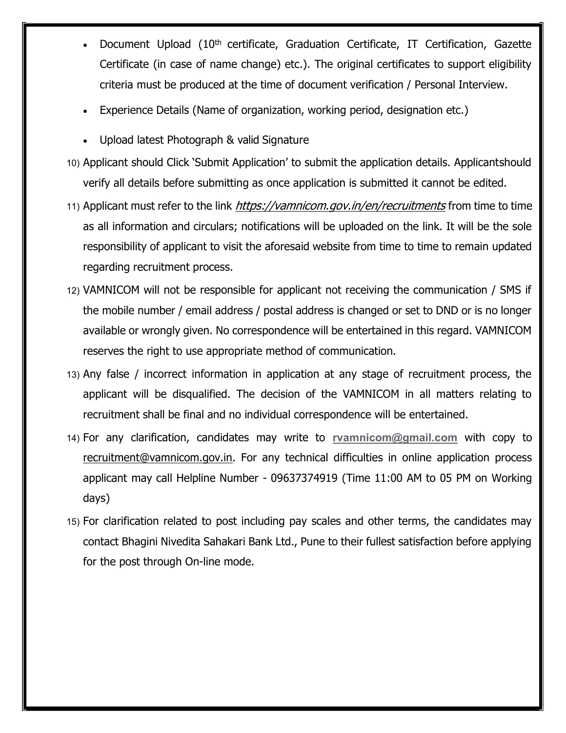- Document Upload (10th certificate, Graduation Certificate, IT Certification, Gazette Certificate (in case of name change) etc.). The original certificates to support eligibility criteria must be produced at the time of document verification / Personal Interview.
- Experience Details (Name of organization, working period, designation etc.)
- Upload latest Photograph & valid Signature
- 10) Applicant should Click 'Submit Application' to submit the application details. Applicant should verify all details before submitting as once application is submitted it cannot be edited.
- 11) Applicant must refer to the link *https://vamnicom.gov.in/en/recruitments* from time to time as all information and circulars; notifications will be uploaded on the link. It will be the sole responsibility of applicant to visit the aforesaid website from time to time to remain updated regarding recruitment process.
- 12) VAMNICOM will not be responsible for applicant not receiving the communication / SMS if the mobile number / email address / postal address is changed or set to DND or is no longer available or wrongly given. No correspondence will be entertained in this regard. VAMNICOM reserves the right to use appropriate method of communication.
- 13) Any false / incorrect information in application at any stage of recruitment process, the applicant will be disqualified. The decision of the VAMNICOM in all matters relating to recruitment shall be final and no individual correspondence will be entertained.
- 14) For any clarification, candidates may write to rvamnicom@gmail.com with copy to recruitment@vamnicom.gov.in. For any technical difficulties in online application process applicant may call Helpline Number - 09637374919 (Time 11:00 AM to 05 PM on Working days)
- 15) For clarification related to post including pay scales and other terms, the candidates may contact Bhagini Nivedita Sahakari Bank Ltd., Pune to their fullest satisfaction before applying for the post through On-line mode.